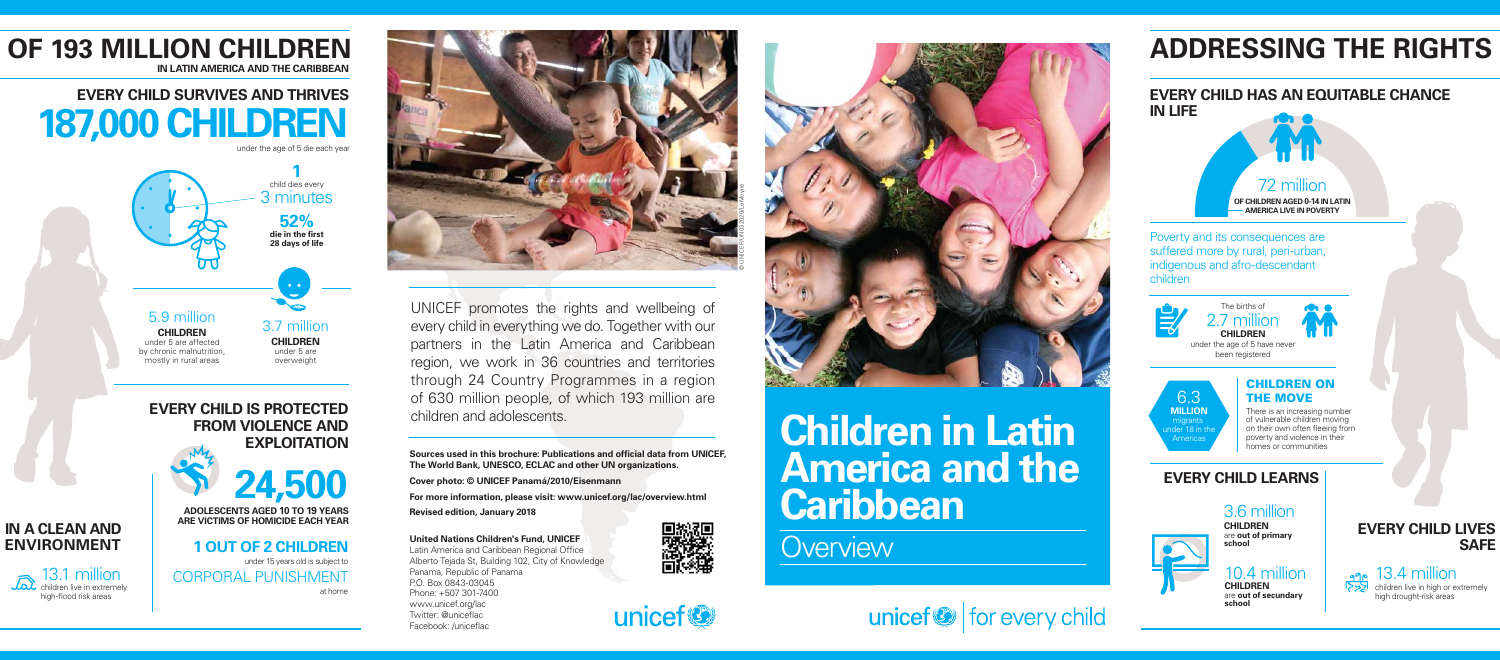#### **United Nations Children's Fund, UNICEF**

Latin America and Caribbean Regional Office Alberto Tejada St, Building 102, City of Knowledge Panama, Republic of Panama P.O. Box 0843-03045 Phone: +507 301-7400 www.unicef.org/lac Twitter: @uniceflac Facebook: /uniceflac





# **Children in Latin America and the Caribbean**

**Overview** 





UNICEF promotes the rights and wellbeing of every child in everything we do. Together with our partners in the Latin America and Caribbean region, we work in 36 countries and territories through 24 Country Programmes in a region of 630 million people, of which 193 million are children and adolescents.

### CHILDREN ON 6.3 THE MOVE

**Sources used in this brochure: Publications and official data from UNICEF, The World Bank, UNESCO, ECLAC and other UN organizations.**

**Cover photo: © UNICEF Panamá/2010/Eisenmann**

# **EVERY CHILD SURVIVES AND THRIVES 187,000 CHILDREN** under the age of 5 die each vear

**For more information, please visit: www.unicef.org/lac/overview.html**

**Revised edition, January 2018**



# **ADDRESSING THE RIGHTS**

### **EVERY CHILD HAS AN EQUITABLE CHANCE IN LIFE**

Poverty and its consequences are suffered more by rural, peri-urban, indigenous and afro-descendant children





under the age of 5 have never been registered

> There is an increasing number of vulnerable children moving on their own often fleeing from poverty and violence in their homes or communities



# **EVERY CHILD LEARNS**

3.6 million **CHILDREN** are **out of primary school**

### 10.4 million

**CHILDREN** are **out of secundary school**

**EVERY CHILD LIVES SAFE** 



**ADOLESCENTS AGED 10 TO 19 YEARS ARE VICTIMS OF HOMICIDE EACH YEAR**



**1 OUT OF 2 CHILDREN** under 15 years old is subject to CORPORAL PUNISHMENT at home

# **IN A CLEAN AND ENVIRONMENT**

**OF 193 MILLION CHILDREN**

**IN LATIN AMERICA AND THE CARIBBEAN**